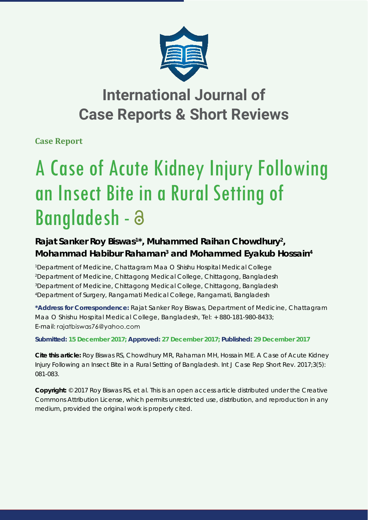

## **International Journal of Case Reports & Short Reviews**

**Case Report**

# A Case of Acute Kidney Injury Following an Insect Bite in a Rural Setting of Bangladesh -

### Rajat Sanker Roy Biswas<sup>1\*</sup>, Muhammed Raihan Chowdhury<sup>2</sup>, **Mohammad Habibur Rahaman3 and Mohammed Eyakub Hossain4**

 *Department of Medicine, Chattagram Maa O Shishu Hospital Medical College Department of Medicine, Chittagong Medical College, Chittagong, Bangladesh Department of Medicine, Chittagong Medical College, Chittagong, Bangladesh Department of Surgery, Rangamati Medical College, Rangamati, Bangladesh*

**\*Address for Correspondence:** Rajat Sanker Roy Biswas, Department of Medicine, Chattagram Maa O Shishu Hospital Medical College, Bangladesh, Tel: + 880-181-980-8433; E-mail: rajatbiswas76@yahoo.com

**Submitted: 15 December 2017; Approved: 27 December 2017; Published: 29 December 2017**

**Cite this article:** Roy Biswas RS, Chowdhury MR, Rahaman MH, Hossain ME. A Case of Acute Kidney Injury Following an Insect Bite in a Rural Setting of Bangladesh. Int J Case Rep Short Rev. 2017;3(5): 081-083.

**Copyright:** © 2017 Roy Biswas RS, et al. This is an open access article distributed under the Creative Commons Attribution License, which permits unrestricted use, distribution, and reproduction in any medium, provided the original work is properly cited.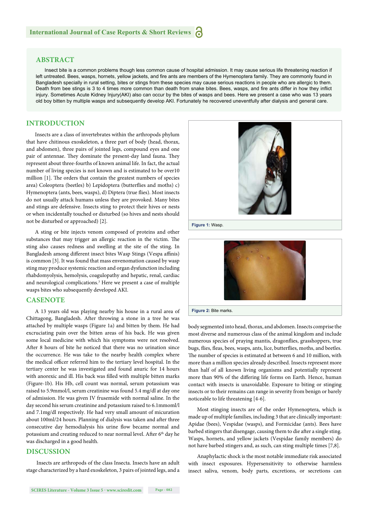#### **ABSTRACT**

Insect bite is a common problems though less common cause of hospital admission. It may cause serious life threatening reaction if left untreated. Bees, wasps, hornets, yellow jackets, and fire ants are members of the Hymenoptera family. They are commonly found in Bangladesh specially in rural setting, bites or stings from these species may cause serious reactions in people who are allergic to them. Death from bee stings is 3 to 4 times more common than death from snake bites. Bees, wasps, and fire ants differ in how they inflict injury. Sometimes Acute Kidney Injury(AKI) also can occur by the bites of wasps and bees. Here we present a case who was 13 years old boy bitten by multiple wasps and subsequently develop AKI. Fortunately he recovered uneventfully after dialysis and general care.

#### **INTRODUCTION**

Insects are a class of invertebrates within the arthropods phylum that have chitinous exoskeleton, a three part of body (head, thorax, and abdomen), three pairs of jointed legs, compound eyes and one pair of antennae. They dominate the present-day land fauna. They represent about three-fourths of known animal life. In fact, the actual number of living species is not known and is estimated to be over10 million [1]. The orders that contain the greatest numbers of species area) Coleoptera (beetles) b) Lepidoptera (butterflies and moths) c) Hymenoptera (ants, bees, wasps), d) Diptera (true flies). Most insects do not usually attack humans unless they are provoked. Many bites and stings are defensive. Insects sting to protect their hives or nests or when incidentally touched or disturbed (so hives and nests should not be disturbed or approached) [2].

A sting or bite injects venom composed of proteins and other substances that may trigger an allergic reaction in the victim. The sting also causes redness and swelling at the site of the sting. In Bangladesh among different insect bites Wasp Stings (Vespa affinis) is common [3]. It was found that mass envenomation caused by wasp sting may produce systemic reaction and organ dysfunction including rhabdomyolysis, hemolysis, coagulopathy and hepatic, renal, cardiac and neurological complications.3 Here we present a case of multiple wasps bites who subsequently developed AKI.

#### **CASENOTE**

A 13 years old was playing nearby his house in a rural area of Chittagong, Bangladesh. After throwing a stone in a tree he was attached by multiple wasps (Figure 1a) and bitten by them. He had excruciating pain over the bitten areas of his back. He was given some local medicine with which his symptoms were not resolved. After 8 hours of bite he noticed that there was no urination since the occurrence. He was take to the nearby health complex where the medical officer referred him to the tertiary level hospital. In the tertiary center he was investigated and found anuric for 14 hours with anorexic and ill. His back was filled with multiple bitten marks (Figure-1b). His Hb, cell count was normal, serum potassium was raised to 5.9mmol/l, serum creatinine was found 5.4 mg/dl at day one of admission. He was given IV frusemide with normal saline. In the day second his serum creatinine and potassium raised to 6.1mmoml/l and 7.1mg/dl respectively. He had very small amount of micuration about 100ml/24 hours. Planning of dialysis was taken and after three consecutive day hemodialysis his urine flow became normal and potassium and creating reduced to near normal level. After 6<sup>th</sup> day he was discharged in a good health.

#### **DISCUSSION**

 Insects are arthropods of the class Insecta. Insects have an adult stage characterized by a hard exoskeleton, 3 pairs of jointed legs, and a





**Figure 2:** Bite marks.

body segmented into head, thorax, and abdomen. Insects comprise the most diverse and numerous class of the animal kingdom and include numerous species of praying mantis, dragonflies, grasshoppers, true bugs, flies, fleas, bees, wasps, ants, lice, butterflies, moths, and beetles. The number of species is estimated at between 6 and 10 million, with more than a million species already described. Insects represent more than half of all known living organisms and potentially represent more than 90% of the differing life forms on Earth. Hence, human contact with insects is unavoidable. Exposure to biting or stinging insects or to their remains can range in severity from benign or barely noticeable to life threatening [4-6].

Most stinging insects are of the order Hymenoptera, which is made up of multiple families, including 3 that are clinically important: Apidae (bees), Vespidae (wasps), and Formicidae (ants). Bees have barbed stingers that disengage, causing them to die after a single sting. Wasps, hornets, and yellow jackets (Vespidae family members) do not have barbed stingers and, as such, can sting multiple times [7,8].

Anaphylactic shock is the most notable immediate risk associated with insect exposures. Hypersensitivity to otherwise harmless insect saliva, venom, body parts, excretions, or secretions can